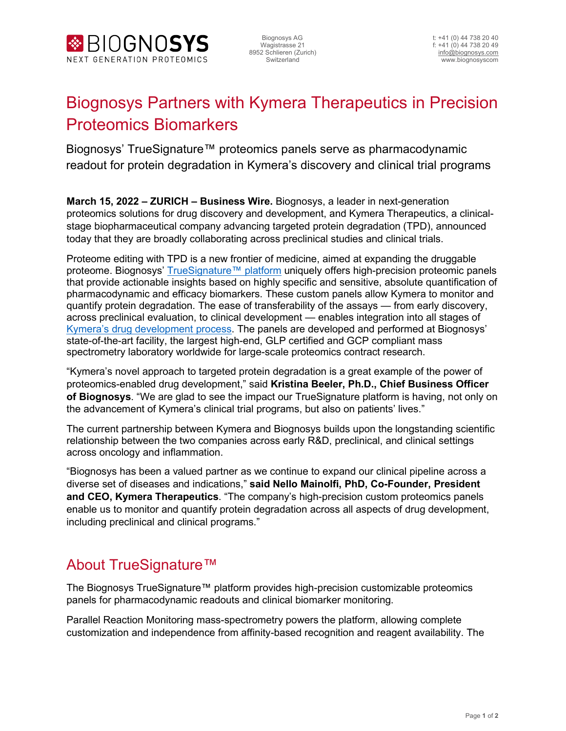

## Biognosys Partners with Kymera Therapeutics in Precision Proteomics Biomarkers

Biognosys' TrueSignature™ proteomics panels serve as pharmacodynamic readout for protein degradation in Kymera's discovery and clinical trial programs

**March 15, 2022 – ZURICH – Business Wire.** Biognosys, a leader in next-generation proteomics solutions for drug discovery and development, and Kymera Therapeutics, a clinicalstage biopharmaceutical company advancing targeted protein degradation (TPD), announced today that they are broadly collaborating across preclinical studies and clinical trials.

Proteome editing with TPD is a new frontier of medicine, aimed at expanding the druggable proteome. Biognosys' [TrueSignature™](http://truesignature.bio/) platform uniquely offers high-precision proteomic panels that provide actionable insights based on highly specific and sensitive, absolute quantification of pharmacodynamic and efficacy biomarkers. These custom panels allow Kymera to monitor and quantify protein degradation. The ease of transferability of the assays — from early discovery, across preclinical evaluation, to clinical development — enables integration into all stages of [Kymera's drug development process.](https://www.kymeratx.com/platform/) The panels are developed and performed at Biognosys' state-of-the-art facility, the largest high-end, GLP certified and GCP compliant mass spectrometry laboratory worldwide for large-scale proteomics contract research.

"Kymera's novel approach to targeted protein degradation is a great example of the power of proteomics-enabled drug development," said **Kristina Beeler, Ph.D., Chief Business Officer of Biognosys**. "We are glad to see the impact our TrueSignature platform is having, not only on the advancement of Kymera's clinical trial programs, but also on patients' lives."

The current partnership between Kymera and Biognosys builds upon the longstanding scientific relationship between the two companies across early R&D, preclinical, and clinical settings across oncology and inflammation.

"Biognosys has been a valued partner as we continue to expand our clinical pipeline across a diverse set of diseases and indications," **said Nello Mainolfi, PhD, Co-Founder, President and CEO, Kymera Therapeutics**. "The company's high-precision custom proteomics panels enable us to monitor and quantify protein degradation across all aspects of drug development, including preclinical and clinical programs."

## About TrueSignature™

The Biognosys TrueSignature™ platform provides high-precision customizable proteomics panels for pharmacodynamic readouts and clinical biomarker monitoring.

Parallel Reaction Monitoring mass-spectrometry powers the platform, allowing complete customization and independence from affinity-based recognition and reagent availability. The